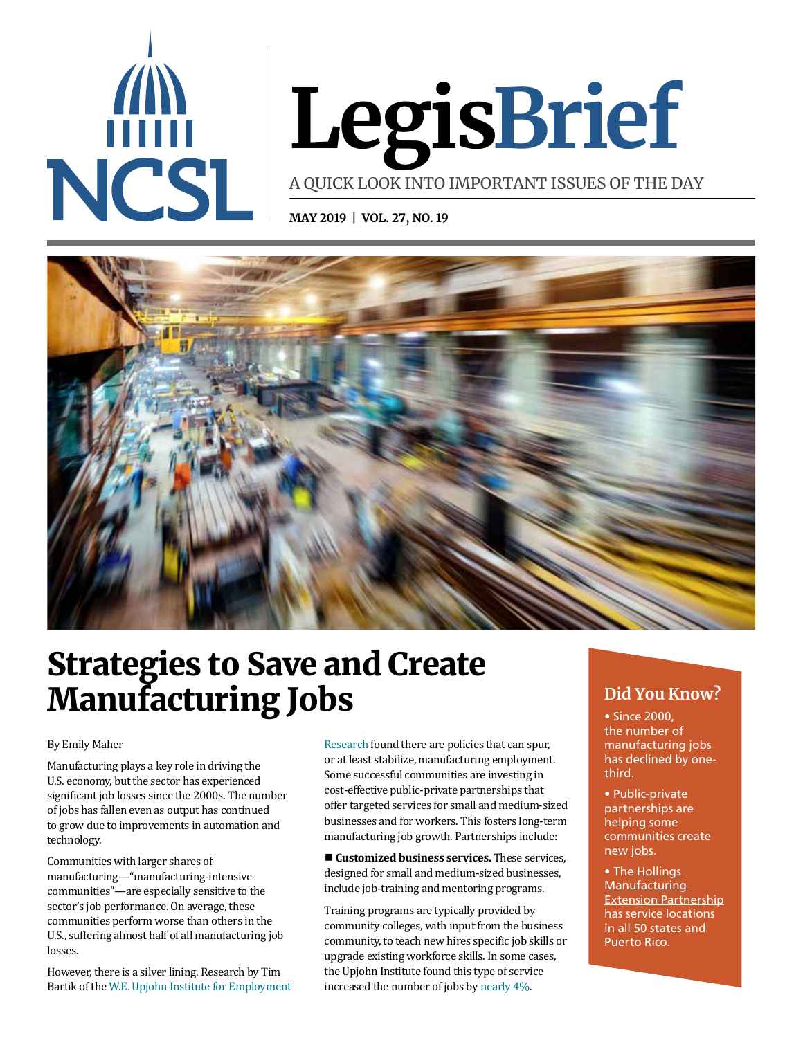

# **LegisBrief**

A QUICK LOOK INTO IMPORTANT ISSUES OF THE DAY

**MAY 2019 | VOL. 27, NO. 19**



## Strategies to Save and Create **Manufacturing Jobs** Did You Know?

#### By Emily Maher

Manufacturing plays a key role in driving the U.S. economy, but the sector has experienced significant job losses since the 2000s. The number of jobs has fallen even as output has continued to grow due to improvements in automation and technology.

Communities with larger shares of manufacturing—"manufacturing-intensive communities"—are especially sensitive to the sector's job performance. On average, these communities perform worse than others in the U.S., suffering almost half of all manufacturing job losses.

However, there is a silver lining. Research by Tim Bartik of the [W.E. Upjohn Institute for Employment](https://research.upjohn.org/reports/232/) 

[Research](https://research.upjohn.org/reports/232/) found there are policies that can spur, or at least stabilize, manufacturing employment. Some successful communities are investing in cost-effective public-private partnerships that offer targeted services for small and medium-sized businesses and for workers. This fosters long-term manufacturing job growth. Partnerships include:

■ Customized business services. These services, designed for small and medium-sized businesses, include job-training and mentoring programs.

Training programs are typically provided by community colleges, with input from the business community, to teach new hires specific job skills or upgrade existing workforce skills. In some cases, the Upjohn Institute found this type of service increased the number of jobs by [nearly 4%.](https://research.upjohn.org/reports/232/) 

• Since 2000, the number of manufacturing jobs has declined by onethird.

- Public-private partnerships are helping some communities create new jobs.
- The Hollings **Manufacturing** [Extension Partnership](https://www.nist.gov/sites/default/files/documents/mep/MEP-PARTNERING-IMPACTS-2013-2.pdf) has service locations in all 50 states and Puerto Rico.